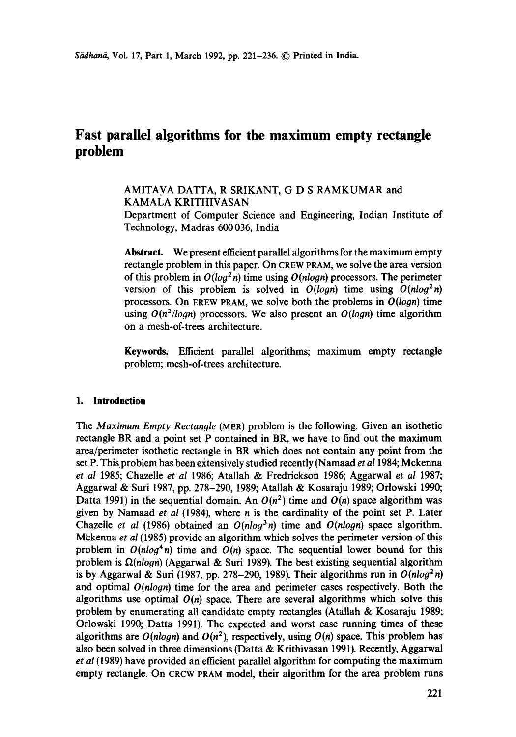# **Fast parallel algorithms for the maximum empty rectangle problem**

# AMITAVA DATTA, R SRIKANT, G D S RAMKUMAR and KAMALA KRITHIVASAN

Department of Computer Science and Engineering, Indian Institute of Technology, Madras 600 036, India

**Abstract.** We present efficient parallel algorithms for the maximum empty rectangle problem in this paper. On CREW PRAM, we solve the area version of this problem in  $O(log^2 n)$  time using  $O(n \log n)$  processors. The perimeter version of this problem is solved in  $O(logn)$  time using  $O(nlog^2n)$ processors. On EREW PRAM, we solve both the problems in *O(logn)* time using  $O(n^2/logn)$  processors. We also present an  $O(logn)$  time algorithm on a mesh-of-trees architecture.

**Keywords.** Efficient parallel algorithms; maximum empty rectangle problem; mesh-of-trees architecture.

# **1. Introduction**

The *Maximum Empty Rectangle* (MER) problem is the following. Given an isothetic rectangle BR and a point set P contained in BR, we have to find out the maximum area/perimeter isothetic rectangle in BR which does not contain any point from the set P. Thisproblem has been extensively studied recently (Namaad *et a11984;* Mckenna *et al* 1985; Chazelle *et al* 1986; Atallah & Fredrickson 1986; Aggarwal *et al* 1987; Aggarwal & Suri 1987, pp. 278-290, 1989; Atallah & Kosaraju 1989; Orlowski 1990; Datta 1991) in the sequential domain. An  $O(n^2)$  time and  $O(n)$  space algorithm was given by Namaad *et al* (1984), where n is the cardinality of the point set P. Later Chazelle *et al* (1986) obtained an  $O(n \log^3 n)$  time and  $O(n \log n)$  space algorithm. Mckenna *et al* (1985) provide an algorithm which solves the perimeter version of this problem in  $O(n \log^4 n)$  time and  $O(n)$  space. The sequential lower bound for this problem is  $\Omega(n \log n)$  (Aggarwal & Suri 1989). The best existing sequential algorithm is by Aggarwal & Suri (1987, pp. 278-290, 1989). Their algorithms run in  $O(nlog^2 n)$ and optimal *O(nlogn)* time for the area and perimeter cases respectively. Both the algorithms use optimal  $O(n)$  space. There are several algorithms which solve this problem by enumerating all candidate empty rectangles (Atallah & Kosaraju 1989; Orlowski 1990; Datta 1991). The expected and worst case running times of these algorithms are  $O(n \log n)$  and  $O(n^2)$ , respectively, using  $O(n)$  space. This problem has also been solved in three dimensions (Datta & Krithivasan 1991). Recently, Aggarwal *et al* (1989) have provided an efficient parallel algorithm for computing the maximum empty rectangle. On CRCW PRAM model, their algorithm for the area problem runs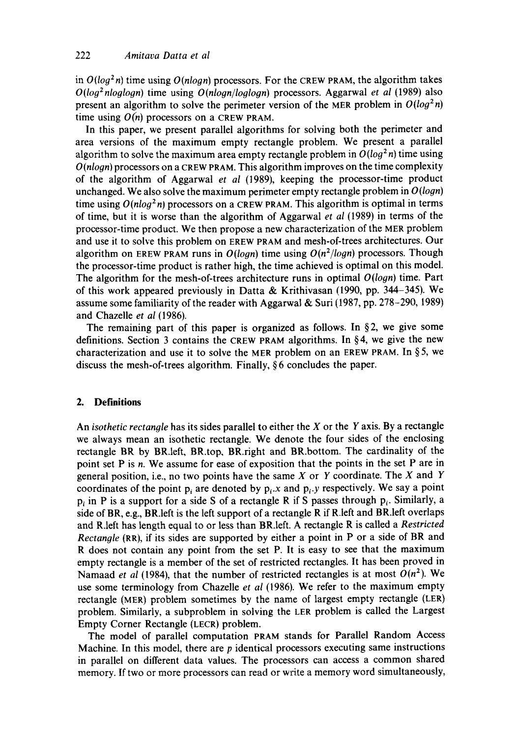in  $O(log^2 n)$  time using  $O(n \log n)$  processors. For the CREW PRAM, the algorithm takes *O(logZnloglogn)* time using *O(nlogn/loglogn)* processors. Aggarwal *et al* (1989) also present an algorithm to solve the perimeter version of the MER problem in  $O(log^2 n)$ time using  $O(n)$  processors on a CREW PRAM.

In this paper, we present parallel algorithms for solving both the perimeter and area versions of the maximum empty rectangle problem. We present a parallel algorithm to solve the maximum area empty rectangle problem in  $O(log^2 n)$  time using *O(nlogn)* processors on a CREW PRAM. This algorithm improves on the time complexity of the algorithm of Aggarwal *et al* (1989), keeping the processor-time product unchanged. We also solve the maximum perimeter empty rectangle problem in *O(logn)*  time using  $O(n \log^2 n)$  processors on a CREW PRAM. This algorithm is optimal in terms of time, but it is worse than the algorithm of Aggarwal *et al* (1989) in terms of the processor-time product. We then propose a new characterization of the MER problem and use it to solve this problem on EREW PRAM and mesh-of-trees architectures. Our algorithm on EREW PRAM runs in *O(logn)* time using *O(n2/logn)* processors. Though the processor-time product is rather high, the time achieved is optimal on this model. The algorithm for the mesh-of-trees architecture runs in optimal *O(logn)* time. Part of this work appeared previously in Datta & Krithivasan (1990, pp. 344-345). We assume some familiarity of the reader with Aggarwal & Suri (1987, pp. 278–290, 1989) and Chazelle *et al* (1986).

The remaining part of this paper is organized as follows. In  $\S$ 2, we give some definitions. Section 3 contains the CREW PRAM algorithms. In  $\S 4$ , we give the new characterization and use it to solve the MER problem on an EREW PRAM. In  $\S 5$ , we discuss the mesh-of-trees algorithm. Finally, § 6 concludes the paper.

### **2. Definitions**

An *isothetic rectangle* has its sides parallel to either the X or the Y axis. By a rectangle we always mean an isothetic rectangle. We denote the four sides of the enclosing rectangle BR by BR.left, BR.top, BR.right and BR.bottom. The cardinality of the point set P is n. We assume for ease of exposition that the points in the set P are in general position, i.e., no two points have the same  $X$  or  $Y$  coordinate. The  $X$  and  $Y$ coordinates of the point p<sub>i</sub> are denoted by  $p_i x$  and  $p_i y$  respectively. We say a point p, in P is a support for a side S of a rectangle R if S passes through  $p_i$ . Similarly, a side of BR, e.g., BR.left is the left support of a rectangle R if R.left and BR.left overlaps and R.left has length equal to or less than BR.left. A rectangle R is called a *Restricted Rectangle* (RR), if its sides are supported by either a point in P or a side of BR and R does not contain any point from the set P. It is easy to see that the maximum empty rectangle is a member of the set of restricted rectangles. It has been proved in Namaad *et al* (1984), that the number of restricted rectangles is at most  $O(n^2)$ . We use some terminology from Chazelle et al (1986). We refer to the maximum empty rectangle (MER) problem sometimes by the name of largest empty rectangle (LER) problem. Similarly, a subproblem in solving the LER problem is called the Largest Empty Corner Rectangle (LECR) problem.

The model of parallel computation PRAM stands for Parallel Random Access Machine. In this model, there are  $p$  identical processors executing same instructions in parallel on different data values. The processors can access a common shared memory. If two or more processors can read or write a memory word simultaneously,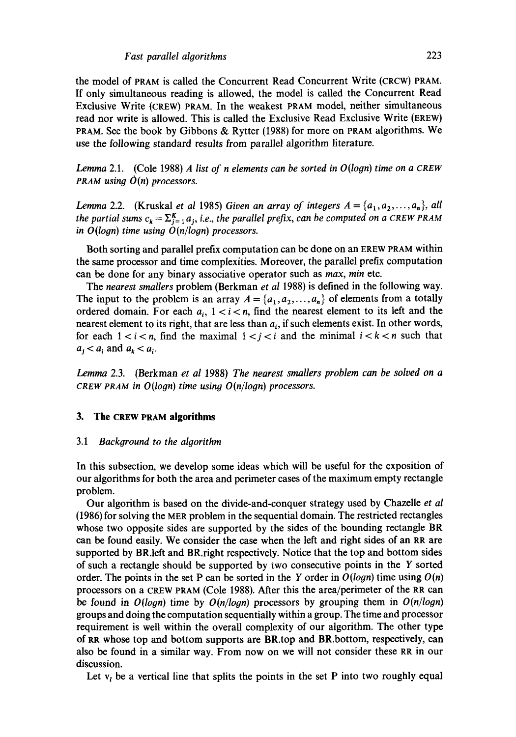the model of PRAM is called the Concurrent Read Concurrent Write (CRCW) PRAM. If only simultaneous reading is allowed, the model is called the Concurrent Read Exclusive Write (CREW) PRAM. In the weakest PRAM model, neither simultaneous read nor write is allowed. This is called the Exclusive Read Exclusive Write (EREW) PRAM. See the book by Gibbons & Rytter (1988) for more on PRAM algorithms. We use the following standard results from parallel algorithm literature.

*Lemma* 2.1. (Cole 1988) *A list of n elements can be sorted in O(logn) time on a CREW PRAM using O(n) processors.* 

*Lemma* 2.2. (Kruskal *et al 1985) Given an array of integers*  $A = \{a_1, a_2, \ldots, a_n\}$ , *all the partial sums*  $c_k = \sum_{j=1}^{K} a_j$ , *i.e., the parallel prefix, can be computed on a CREW PRAM* in  $O(logn)$  time using  $O(n/logn)$  processors.

Both sorting and parallel prefix computation can be done on an EREW PRAM within the same processor and time complexities. Moreover, the parallel prefix computation can be done for any binary associative operator such as *max, min* etc.

The *nearest smallers* problem (Berkman *et al* 1988) is defined in the following way. The input to the problem is an array  $A = \{a_1, a_2, ..., a_n\}$  of elements from a totally ordered domain. For each  $a_i$ ,  $1 < i < n$ , find the nearest element to its left and the nearest element to its right, that are less than  $a_i$ , if such elements exist. In other words, for each  $1 < i < n$ , find the maximal  $1 < i < i$  and the minimal  $i < k < n$  such that  $a_i < a_i$  and  $a_k < a_i$ .

*Lemma* 2.3. (Berkman *et al* 1988) *The nearest smallers problem can be soloed on a CReW PRAM in O(logn) time using O(n/logn) processors.* 

#### **3. The CREW PRAM algorithms**

#### *3.1 Background to the algorithm*

In this subsection, we develop some ideas which will be useful for the exposition of our algorithms for both the area and perimeter cases of the maximum empty rectangle problem.

Our algorithm is based on the divide-and-conquer strategy used by Chazelle *et al*  (1986) for solving the MER problem in the sequential domain. The restricted rectangles whose two opposite sides are supported by the sides of the bounding rectangle BR can be found easily. We consider the case when the left and right sides of an RR are supported by BR.left and BR.right respectively. Notice that the top and bottom sides of such a rectangle should be supported by two consecutive points in the Y sorted order. The points in the set P can be sorted in the Y order in  $O(logn)$  time using  $O(n)$ processors on a CREW PRAM (Cole 1988). After this the area/perimeter of the RR can be found in *O(logn)* time by *O(n/logn)* processors by grouping them in *O(n/logn)*  groups and doing the computation sequentially within a group. The time and processor requirement is well within the overall complexity of our algorithm. The other type of RR whose top and bottom supports are BR.top and BR.bottom, respectively, can also be found in a similar way. From now on we will not consider these RR in our discussion.

Let  $v_t$ , be a vertical line that splits the points in the set P into two roughly equal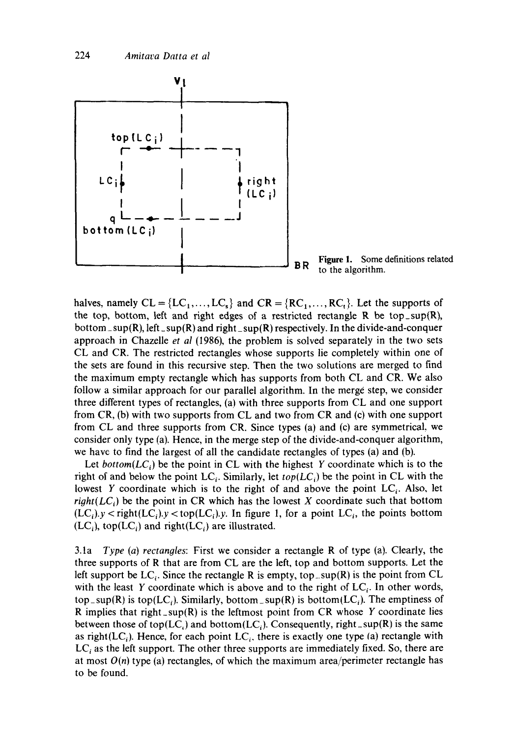

Figure 1. Some definitions related  $BR$  to the algorithm.

halves, namely  $CL = \{LC_1, \ldots, LC_s\}$  and  $CR = \{RC_1, \ldots, RC_t\}$ . Let the supports of the top, bottom, left and right edges of a restricted rectangle R be top\_sup $(R)$ , bottom\_sup(R), left\_sup(R) and right\_sup(R) respectively. In the divide-and-conquer approach in Chazelle *et al* (1986), the problem is solved separately in the two sets CL and CR. The restricted rectangles whose supports lie completely within one of the sets are found in this recursive step. Then the two solutions are merged to find the maximum empty rectangle which has supports from both CL and CR. We also follow a similar approach for our parallel algorithm. In the merge step, we consider three different types of rectangles, (a) with three supports from CL and one support from CR, (b) with two supports from CL and two from CR and (c) with one support from CL and three supports from CR. Since types (a) and (c) are symmetrical, we consider only type (a). Hence, in the merge step of the divide-and-conquer algorithm, we have to find the largest of all the candidate rectangles of types (a) and (b).

Let *bottom*( $LC_i$ ) be the point in CL with the highest Y coordinate which is to the right of and below the point  $LC_i$ . Similarly, let  $top(LC_i)$  be the point in CL with the lowest Y coordinate which is to the right of and above the point  $LC_i$ . Also, let *right*( $LC_i$ ) be the point in CR which has the lowest X coordinate such that bottom  $(LC_i)$ .y < right $(LC_i)$ .y < top $(LC_i)$ .y. In figure 1, for a point  $LC_i$ , the points bottom  $(LC_i)$ , top $(LC_i)$  and right $(LC_i)$  are illustrated.

3.1a *Type (a) rectangles:* First we consider a rectangle R of type (a). Clearly, the three supports of R that are from CL are the left, top and bottom supports. Let the left support be  $LC_i$ . Since the rectangle R is empty, top\_sup(R) is the point from CL with the least Y coordinate which is above and to the right of  $LC_i$ . In other words, top\_sup(R) is top(LC<sub>i</sub>). Similarly, bottom\_sup(R) is bottom(LC<sub>i</sub>). The emptiness of R implies that right\_sup(R) is the leftmost point from CR whose Y coordinate lies between those of top(LC<sub>i</sub>) and bottom(LC<sub>i</sub>). Consequently, right\_sup(R) is the same as right( $LC_i$ ). Hence, for each point  $LC_i$ , there is exactly one type (a) rectangle with  $LC_i$  as the left support. The other three supports are immediately fixed. So, there are at most  $O(n)$  type (a) rectangles, of which the maximum area/perimeter rectangle has to be found.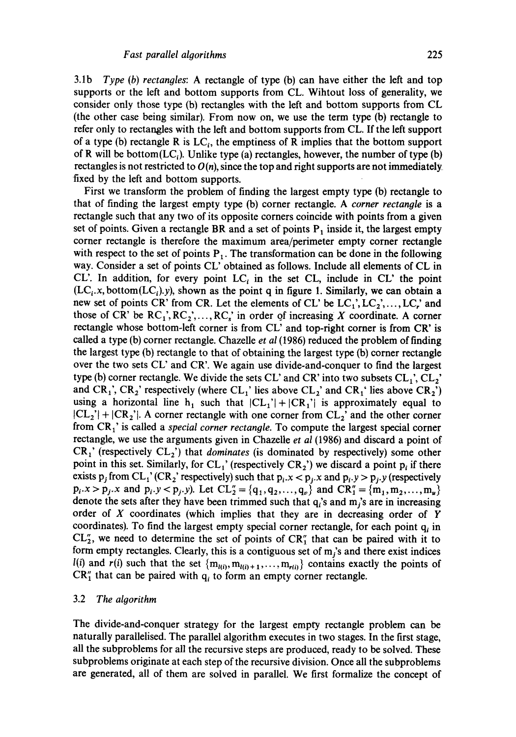3.1b *Type (b) rectangles:* A rectangle of type (b) can have either the left and top supports or the left and bottom supports from CL. Wihtout loss of generality, we consider only those type (b) rectangles with the left and bottom supports from CL (the other case being similar). From now on, we use the term type (b) rectangle to refer only to rectangles with the left and bottom supports from CL. If the left support of a type (b) rectangle R is  $LC_i$ , the emptiness of R implies that the bottom support of R will be bottom $(LC_i)$ . Unlike type (a) rectangles, however, the number of type (b) rectangles is not restricted to  $O(n)$ , since the top and right supports are not immediately fixed by the left and bottom supports.

First we transform the problem of finding the largest empty type (b) rectangle to that of finding the largest empty type (b) corner rectangle. A *corner rectangle* is a rectangle such that any two of its opposite corners coincide with points from a given set of points. Given a rectangle BR and a set of points  $P_1$  inside it, the largest empty corner rectangle is therefore the maximum area/perimeter empty corner rectangle with respect to the set of points  $P_1$ . The transformation can be done in the following way. Consider a set of points CL' obtained as follows. Include all elements of CL in CL'. In addition, for every point  $LC_i$  in the set CL, include in CL' the point  $(LC_i.x, bottom(LC_i)y)$ , shown as the point q in figure 1. Similarly, we can obtain a new set of points CR' from CR. Let the elements of CL' be  $LC_1$ ',  $LC_2$ ',...,  $LC_r$ ' and those of CR' be  $RC_1$ ',  $RC_2$ ',...,  $RC_s$ ' in order of increasing X coordinate. A corner rectangle whose bottom-left corner is from CL' and top-right comer is from CR' is called a type (b) corner rectangle. Chazelle *et al* (1986) reduced the problem of finding the largest type (b) rectangle to that of obtaining the largest type (b) corner rectangle over the two sets CL' and CR'. We again use divide-and-conquer to find the largest type (b) corner rectangle. We divide the sets CL' and CR' into two subsets  $CL_1$ ',  $CL_2$ ' and  $CR_1$ ,  $CR_2$ ' respectively (where  $CL_1$ ' lies above  $CL_2$ ' and  $CR_1$ ' lies above  $CR_2$ ') using a horizontal line h<sub>1</sub> such that  $|CL_1'| + |CR_1'|$  is approximately equal to  $|CL_2'| + |CR_2'|$ . A corner rectangle with one corner from  $CL_2'$  and the other corner from CR<sub>1</sub>' is called a *special corner rectangle*. To compute the largest special corner rectangle, we use the arguments given in Chazelle *et al* (1986) and discard a point of CR<sub>1</sub>' (respectively CL<sub>2</sub>') that *dominates* (is dominated by respectively) some other point in this set. Similarly, for CL<sub>1</sub>' (respectively CR<sub>2</sub>') we discard a point  $p_i$  if there exists  $p_j$  from CL<sub>1</sub>' (CR<sub>2</sub>' respectively) such that  $p_i.x < p_j.x$  and  $p_i.y > p_j.y$  (respectively  $p_i.x > p_j.x$  and  $p_i.y < p_j.y$ ). Let  $CL''_2 = \{q_1, q_2, ..., q_v\}$  and  $CR''_1 = \{m_1, m_2, ..., m_u\}$ denote the sets after they have been trimmed such that  $q_i$ 's and  $m_i$ 's are in increasing order of X coordinates (which implies that they are in decreasing order of Y coordinates). To find the largest empty special corner rectangle, for each point  $q_i$  in  $CL''_2$ , we need to determine the set of points of  $CR''_1$  that can be paired with it to form empty rectangles. Clearly, this is a contiguous set of  $m_j$ 's and there exist indices  $l(i)$  and  $r(i)$  such that the set  ${m_{l(i)}, m_{l(i)+1}, \ldots, m_{r(i)}}$  contains exactly the points of  $CR''_1$  that can be paired with  $q_i$  to form an empty corner rectangle.

#### 3.2 *The algorithm*

The divide-and-conquer strategy for the largest empty rectangle problem can be naturally parallelised. The parallel algorithm executes in two stages. In the first stage, all the subproblems for all the recursive steps are produced, ready to be solved. These subproblems originate at each step of the recursive division. Once all the subproblems are generated, all of them are solved in parallel. We first formalize the concept of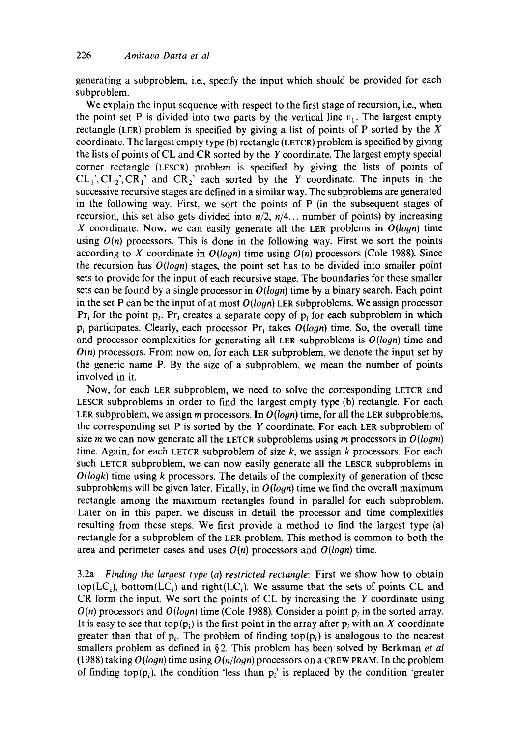generating a subproblem, i.e., specify the input which should be provided for each subproblem.

We explain the input sequence with respect to the first stage of recursion, i.e., when the point set P is divided into two parts by the vertical line  $v_1$ . The largest empty rectangle (LER) problem is specified by giving a list of points of P sorted by the  $X$ coordinate. The largest empty type (b) rectangle (LETCR) problem is specified by giving the lists of points of CL and CR sorted by the Y coordinate. The largest empty special corner rectangle (LESCR) problem is specified by giving the lists of points of  $CL_1$ ,  $CL_2$ ,  $CR_1$ ' and  $CR_2$ ' each sorted by the Y coordinate. The inputs in the successive recursive stages are defined in a similar way. The subproblems are generated in the following way. First, we sort the points of P (in the subsequent stages of recursion, this set also gets divided into *n/2, n/4..,* number of points) by increasing X coordinate. Now, we can easily generate all the LER problems in  $O(logn)$  time using  $O(n)$  processors. This is done in the following way. First we sort the points according to X coordinate in  $O(logn)$  time using  $O(n)$  processors (Cole 1988). Since the recursion has *O(logn)* stages, the point set has to be divided into smaller point sets to provide for the input of each recursive stage. The boundaries for these smaller sets can be found by a single processor in  $O(logn)$  time by a binary search. Each point in the set P can be the input of at most *O(Iogn)* LER subproblems. We assign processor  $Pr_i$  for the point  $p_i$ . Pr<sub>i</sub> creates a separate copy of p<sub>i</sub> for each subproblem in which  $p_i$  participates. Clearly, each processor  $Pr_i$  takes  $O(log n)$  time. So, the overall time and processor complexities for generating all LER subproblems is *O(logn)* time and  $O(n)$  processors. From now on, for each LER subproblem, we denote the input set by the generic name P. By the size of a subproblem, we mean the number of points involved in it.

Now, for each LER subproblem, we need to solve the corresponding LETCR and LESCR subproblems in order to find the largest empty type (b) rectangle. For each LER subproblem, we assign m processors. In *O(logn)* time, for all the LER subproblems, the corresponding set  $P$  is sorted by the  $Y$  coordinate. For each LER subproblem of size m we can now generate all the LETCR subproblems using m processors in *O(logm)*  time. Again, for each LETCR subproblem of size  $k$ , we assign  $k$  processors. For each such LETCR subproblem, we can now easily generate all the LESCR subproblems in *O(logk)* time using k processors. The details of the complexity of generation of these subproblems will be given later. Finally, in *O(logn)* time we find the overall maximum rectangle among the maximum rectangles found in parallel for each subproblem. Later on in this paper, we discuss in detail the processor and time complexities resulting from these steps. We first provide a method to find the largest type (a) rectangle for a subproblem of the LER problem. This method is common to both the area and perimeter cases and uses *O(n)* processors and *O(logn)* time.

3.2a *Finding the largest type (a) restricted rectangle:* First we show how to obtain top( $LC_i$ ), bottom( $LC_i$ ) and right( $LC_i$ ). We assume that the sets of points CL and CR form the input. We sort the points of CL by increasing the Y coordinate using  $O(n)$  processors and  $O(logn)$  time (Cole 1988). Consider a point  $p_i$  in the sorted array. It is easy to see that top(p<sub>i</sub>) is the first point in the array after p<sub>i</sub> with an X coordinate greater than that of  $p_i$ . The problem of finding top $(p_i)$  is analogous to the nearest smallers problem as defined in § 2. This problem has been solved by Berkman *et al*  (1988) taking *O(logn)* time using *O(n/logn)* processors on a CREW PRAM. In the problem of finding top( $p_i$ ), the condition 'less than  $p_i$ ' is replaced by the condition 'greater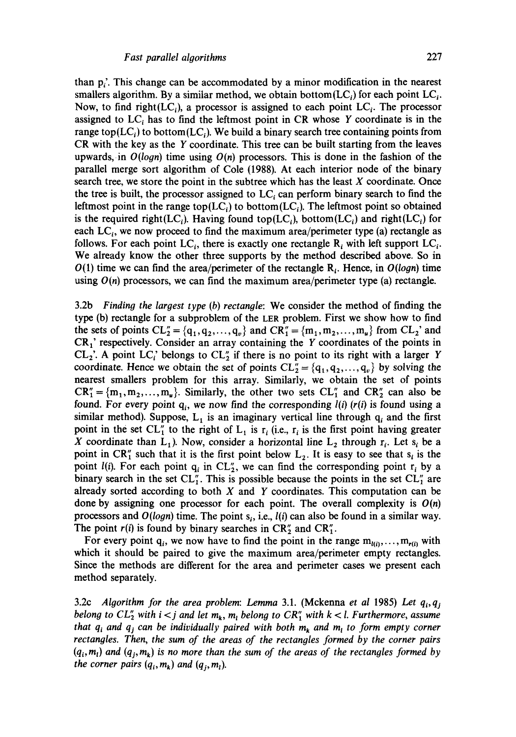than  $p_i'$ . This change can be accommodated by a minor modification in the nearest smallers algorithm. By a similar method, we obtain bottom( $LC<sub>i</sub>$ ) for each point  $LC<sub>i</sub>$ . Now, to find right( $LC<sub>i</sub>$ ), a processor is assigned to each point  $LC<sub>i</sub>$ . The processor assigned to  $LC_i$  has to find the leftmost point in CR whose Y coordinate is in the range top( $LC<sub>i</sub>$ ) to bottom( $LC<sub>i</sub>$ ). We build a binary search tree containing points from CR with the key as the Y coordinate. This tree can be built starting from the leaves upwards, in *O(logn)* time using *O(n)* processors. This is done in the fashion of the parallel merge sort algorithm of Cole (1988). At each interior node of the binary search tree, we store the point in the subtree which has the least  $X$  coordinate. Once the tree is built, the processor assigned to  $LC_i$  can perform binary search to find the leftmost point in the range top( $LC_i$ ) to bottom( $LC_i$ ). The leftmost point so obtained is the required right(LC<sub>i</sub>). Having found top(LC<sub>i</sub>), bottom(LC<sub>i</sub>) and right(LC<sub>i</sub>) for each  $LC_i$ , we now proceed to find the maximum area/perimeter type (a) rectangle as follows. For each point LC<sub>i</sub>, there is exactly one rectangle  $R_i$  with left support LC<sub>i</sub>. We already know the other three supports by the method described above. So in  $O(1)$  time we can find the area/perimeter of the rectangle  $R_i$ . Hence, in  $O(logn)$  time using  $O(n)$  processors, we can find the maximum area/perimeter type (a) rectangle.

3.2b *Finding the largest type (b) rectangle:* We consider the method of finding the type (b) rectangle for a subproblem of the LER problem. First we show how to find the sets of points  $CL''_2 = \{q_1, q_2, ..., q_v\}$  and  $CR''_1 = \{m_1, m_2, ..., m_u\}$  from  $CL_2$ ' and  $CR<sub>1</sub>'$  respectively. Consider an array containing the Y coordinates of the points in  $CL_2$ <sup>'</sup>. A point  $LC_i$ ' belongs to  $CL_2''$  if there is no point to its right with a larger Y coordinate. Hence we obtain the set of points  $CL_2 = \{q_1, q_2, ..., q_v\}$  by solving the nearest smallers problem for this array. Similarly, we obtain the set of points  $CR''_1 = \{m_1, m_2, \ldots, m_u\}$ . Similarly, the other two sets  $CL''_1$  and  $CR''_2$  can also be found. For every point  $q_i$ , we now find the corresponding  $l(i)$  ( $r(i)$  is found using a similar method). Suppose,  $L_1$  is an imaginary vertical line through  $q_i$  and the first point in the set CL<sup>"</sup> to the right of L<sub>1</sub> is r<sub>i</sub> (i.e., r<sub>i</sub> is the first point having greater X coordinate than  $L_1$ ). Now, consider a horizontal line  $L_2$  through  $r_i$ . Let  $s_i$  be a point in CR" such that it is the first point below  $L_2$ . It is easy to see that  $s_i$  is the point *l(i)*. For each point  $q_i$  in CL<sup>"</sup>, we can find the corresponding point  $r_i$  by a binary search in the set  $CL''_1$ . This is possible because the points in the set  $CL''_1$  are already sorted according to both  $X$  and  $Y$  coordinates. This computation can be done by assigning one processor for each point. The overall complexity is  $O(n)$ processors and  $O(logn)$  time. The point  $s_i$ , i.e.,  $l(i)$  can also be found in a similar way. The point  $r(i)$  is found by binary searches in  $CR_2^{\prime\prime}$  and  $CR_1^{\prime\prime}$ .

For every point q<sub>i</sub>, we now have to find the point in the range  $m_{i(i)}, ..., m_{r(i)}$  with which it should be paired to give the maximum area/perimeter empty rectangles. Since the methods are different for the area and perimeter cases we present each method separately.

3.2c *Algorithm for the area problem: Lemma* 3.1. (Mckenna *et al* 1985) Let  $q_i, q_j$ *belong to*  $CL''_2$  *with i < j and let*  $m_k$ *,*  $m_l$  *belong to*  $CR''_1$  *with k < l. Furthermore, assume that*  $q_i$  *and*  $q_j$  *can be individually paired with both*  $m_k$  *and*  $m_l$  *to form empty corner rectangles. Then, the sum of the areas of the rectangles formed by the corner pairs*   $(q_i, m_i)$  and  $(q_i, m_k)$  is no more than the sum of the areas of the rectangles formed by *the corner pairs*  $(q_i, m_k)$  *and*  $(q_j, m_l)$ *.*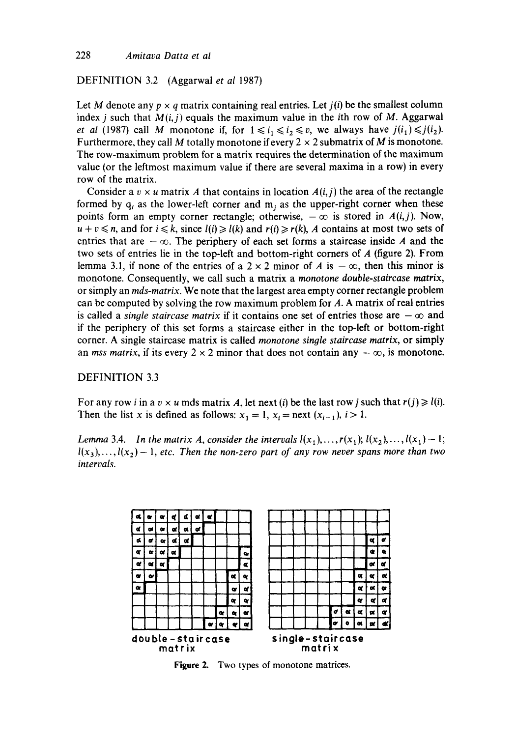DEFINITION 3.2 (Aggarwal *et al* 1987)

Let M denote any  $p \times q$  matrix containing real entries. Let  $j(i)$  be the smallest column index *j* such that  $M(i, j)$  equals the maximum value in the *i*th row of M. Aggarwal *et al (1987)* call M monotone if, for  $1 \le i_1 \le i_2 \le v$ , we always have  $j(i_1) \le j(i_2)$ . Furthermore, they call M totally monotone if every  $2 \times 2$  submatrix of M is monotone. The row-maximum problem for a matrix requires the determination of the maximum value (or the leftmost maximum value if there are several maxima in a row) in every row of the matrix.

Consider a  $v \times u$  matrix A that contains in location  $A(i, j)$  the area of the rectangle formed by  $q_i$  as the lower-left corner and m<sub>i</sub> as the upper-right corner when these points form an empty corner rectangle; otherwise,  $-\infty$  is stored in  $A(i,j)$ . Now,  $u + v \le n$ , and for  $i \le k$ , since  $l(i) \ge l(k)$  and  $r(i) \ge r(k)$ , A contains at most two sets of entries that are  $-\infty$ . The periphery of each set forms a staircase inside A and the two sets of entries lie in the top-left and bottom-right corners of A (figure 2). From lemma 3.1, if none of the entries of a  $2 \times 2$  minor of A is  $-\infty$ , then this minor is monotone. Consequently, we call such a matrix a *monotone double-staircase matrix,*  or simply an *rods-matrix.* We note that the largest area empty corner rectangle problem can be computed by solving the row maximum problem for A. A matrix of real entries is called a *single staircase matrix* if it contains one set of entries those are  $-\infty$  and if the periphery of this set forms a staircase either in the top-left or bottom-right corner. A single staircase matrix is called *monotone single staircase matrix,* or simply an *mss matrix*, if its every  $2 \times 2$  minor that does not contain any  $-\infty$ , is monotone.

#### DEFINITION 3.3

For any row *i* in a  $v \times u$  mds matrix A, let next (i) be the last row *j* such that  $r(j) \geq l(i)$ . Then the list x is defined as follows:  $x_1 = 1$ ,  $x_i = \text{next}(x_{i-1})$ ,  $i > 1$ .

*Lemma* 3.4. *In the matrix A, consider the intervals*  $l(x_1), \ldots, r(x_j)$ ;  $l(x_2), \ldots, l(x_j) - 1$ ;  $l(x_3),..., l(x_2) - 1$ , *etc.* Then the non-zero part of any row never spans more than two *intervals.* 



**Figure 2.**  Two types of monotone matrices.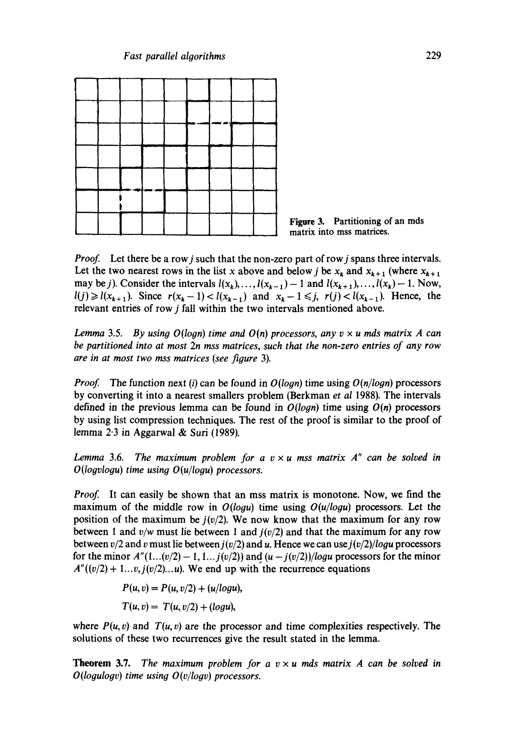



*Proof.* Let there be a row *j* such that the non-zero part of row *j* spans three intervals. Let the two nearest rows in the list x above and below j be  $x_k$  and  $x_{k+1}$  (where  $x_{k+1}$ may be *j*). Consider the intervals  $l(x_k), \ldots, l(x_{k-1})-1$  and  $l(x_{k+1}), \ldots, l(x_k)-1$ . Now,  $l(j) \ge l(x_{k+1})$ . Since  $r(x_k-1) < l(x_{k-1})$  and  $x_k-1 \le j$ ,  $r(j) < l(x_{k-1})$ . Hence, the relevant entries of row j fall within the two intervals mentioned above.

*Lemma* 3.5. *By using O(logn) time and O(n) processors, any v x u mds matrix A can be partitioned into at most 2n mss matrices, such that the non-zero entries of any row are in at most two mss matrices (see figure* 3).

*Proof.* The function next (i) can be found in  $O(logn)$  time using  $O(n/logn)$  processors by converting it into a nearest smallers problem (Berkman *et al* 1988). The intervals defined in the previous lemma can be found in *O(loyn)* time using *O(n)* processors by using list compression techniques. The rest of the proof is similar to the proof of lemma  $2 \cdot 3$  in Aggarwal & Suri (1989).

*Lemma* 3.6. *The maximum problem for a*  $v \times u$  *mss matrix A" can be solved in O(logvlogu) time using O(u/logu) processors.* 

*Proof.* It can easily be shown that an mss matrix is monotone. Now, we find the maximum of the middle row in *O(logu)* time using *O(u/logu)* processors. Let the position of the maximum be  $j(v/2)$ . We now know that the maximum for any row between 1 and  $v/w$  must lie between 1 and  $j(v/2)$  and that the maximum for any row between  $v/2$  and v must lie between  $j(v/2)$  and u. Hence we can use  $j(v/2)/\log u$  processors for the minor  $A''(1...(v/2) - 1, 1...j(v/2))$  and  $(u - j(v/2))/\log u$  processors for the minor  $A''((v/2) + 1...v, j(v/2)...u)$ . We end up with the recurrence equations

$$
P(u, v) = P(u, v/2) + (u/logu),
$$
  

$$
T(u, v) = T(u, v/2) + (logu),
$$

where  $P(u, v)$  and  $T(u, v)$  are the processor and time complexities respectively. The solutions of these two recurrences give the result stated in the lemma.

**Theorem 3.7.** *The maximum problem for a*  $v \times u$  *mds matrix A can be solved in O(logulogv) time using O(v/logv) processors.*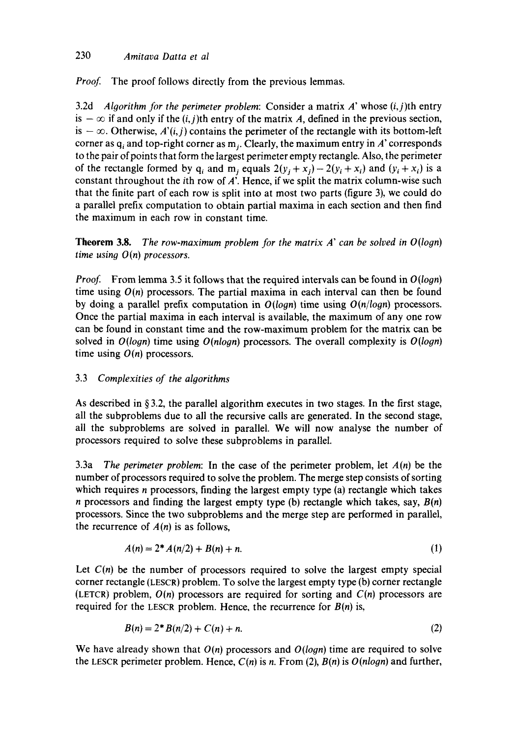# 230 *Amitava Datta et al*

*Proof.* The proof follows directly from the previous lemmas.

3.2d *Algorithm for the perimeter problem:* Consider a matrix A' whose (i,j)th entry is  $-\infty$  if and only if the (i, j)th entry of the matrix A, defined in the previous section, is  $-\infty$ . Otherwise, *A'(i,j)* contains the perimeter of the rectangle with its bottom-left corner as  $q_i$  and top-right corner as  $m_i$ . Clearly, the maximum entry in A' corresponds to the pair of points that form the largest perimeter empty rectangle. Also, the perimeter of the rectangle formed by q<sub>i</sub> and m<sub>i</sub> equals  $2(y_i + x_i) - 2(y_i + x_i)$  and  $(y_i + x_i)$  is a constant throughout the *i*th row of  $\vec{A}$ . Hence, if we split the matrix column-wise such that the finite part of each row is split into at most two parts (figure 3), we could do a parallel prefix computation to obtain partial maxima in each section and then find the maximum in each row in constant time.

**Theorem 3.8.** *The row-maximum problem for the matrix A' can be solved in O(logn) time usin9 0(n) processors.* 

*Proof.* From lemma 3.5 it follows that the required intervals can be found in  $O(log n)$ time using  $O(n)$  processors. The partial maxima in each interval can then be found by doing a parallel prefix computation in *O(loon)* time using *O(n/loon)* processors. Once the partial maxima in each interval is available, the maximum of any one row can be found in constant time and the row-maximum problem for the matrix can be solved in *O(Iogn)* time using *O(nlogn)* processors. The overall complexity is *O(logn)*  time using *O(n)* processors.

# 3.3 *Complexities of the algorithms*

As described in  $§ 3.2$ , the parallel algorithm executes in two stages. In the first stage, all the subproblems due to all the recursive calls are generated. In the second stage, all the subproblems are solved in parallel. We will now analyse the number of processors required to solve these subproblems in parallel.

3.3a *The perimeter problem:* In the case of the perimeter problem, let *A(n)* be the number of processors required to solve the problem. The merge step consists of sorting which requires *n* processors, finding the largest empty type (a) rectangle which takes n processors and finding the largest empty type (b) rectangle which takes, say,  $B(n)$ processors. Since the two subproblems and the merge step are performed in parallel, the recurrence of  $A(n)$  is as follows,

$$
A(n) = 2^* A(n/2) + B(n) + n. \tag{1}
$$

Let  $C(n)$  be the number of processors required to solve the largest empty special corner rectangle (LESCR) problem. To solve the largest empty type (b) corner rectangle (LETCR) problem, *O(n)* processors are required for sorting and *C(n)* processors are required for the LESCR problem. Hence, the recurrence for  $B(n)$  is,

$$
B(n) = 2 * B(n/2) + C(n) + n.
$$
 (2)

We have already shown that *O(n)* processors and *O(logn)* time are required to solve the LESCR perimeter problem. Hence, *C(n)* is n. From (2), *B(n)* is *O(nlogn)* and further,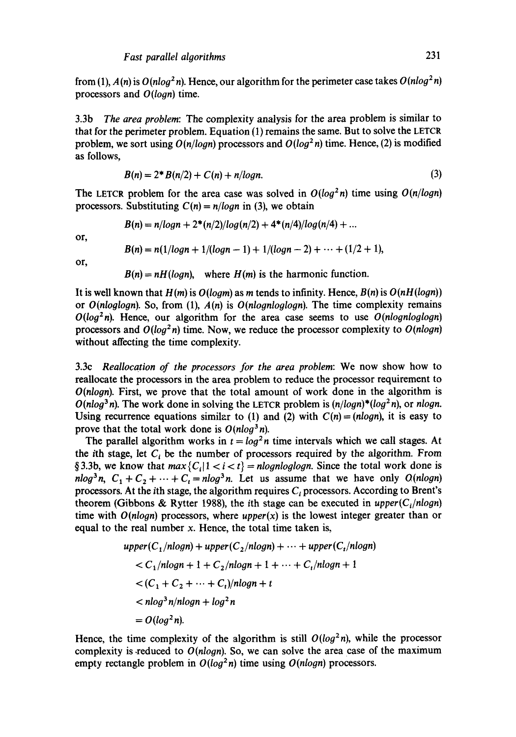from (1),  $A(n)$  is  $O(n \log^2 n)$ . Hence, our algorithm for the perimeter case takes  $O(n \log^2 n)$ processors and *O(loon)* time.

3.3b *The area problem:* The complexity analysis for the area problem is similar to that for the perimeter problem. Equation (1) remains the same. But to solve the LETCR problem, we sort using  $O(n/logn)$  processors and  $O(log^2 n)$  time. Hence, (2) is modified as follows,

$$
B(n) = 2^* B(n/2) + C(n) + n/logn.
$$
 (3)

The LETCR problem for the area case was solved in  $O(log^2 n)$  time using  $O(n/log n)$ processors. Substituting  $C(n) = n/10$ *an* in (3), we obtain

$$
B(n) = n/logn + 2*(n/2)/log(n/2) + 4*(n/4)/log(n/4) + ...
$$

or,

$$
B(n) = n(1/logn + 1/(logn - 1) + 1/(logn - 2) + \cdots + (1/2 + 1),
$$

or,

 $B(n) = nH(logn)$ , where  $H(m)$  is the harmonic function.

It is well known that  $H(m)$  is  $O(logm)$  as m tends to infinity. Hence,  $B(n)$  is  $O(nH(logn))$ or *O(nloglogn).* So, from (1),  $A(n)$  is *O(nlognloglogn)*. The time complexity remains  $O(log^2 n)$ . Hence, our algorithm for the area case seems to use  $O(n \log n \log n)$ processors and  $O(log^2 n)$  time. Now, we reduce the processor complexity to  $O(n \log n)$ without affecting the time complexity.

3.3c *Reailocation of the processors for the area problem:* We now show how to reallocate the processors in the area problem to reduce the processor requirement to *O(nlogn)*. First, we prove that the total amount of work done in the algorithm is  $O(nlog<sup>3</sup> n)$ . The work done in solving the LETCR problem is  $(n/logn)^*(log<sup>2</sup> n)$ , or *nlogn*. Using recurrence equations similar to (1) and (2) with  $C(n) = (n \log n)$ , it is easy to prove that the total work done is  $O(n \log^3 n)$ .

The parallel algorithm works in  $t = \log^2 n$  time intervals which we call stages. At the ith stage, let  $C_i$  be the number of processors required by the algorithm. From § 3.3b, we know that  $max{C_i | 1 < i < t}$  = *nlognloglogn*. Since the total work done is  $nlog<sup>3</sup>n$ ,  $C_1 + C_2 + \cdots + C_t = nlog<sup>3</sup>n$ . Let us assume that we have only *O(nlogn)* processors. At the *i*th stage, the algorithm requires  $C<sub>i</sub>$  processors. According to Brent's theorem (Gibbons & Rytter 1988), the *i*th stage can be executed in *upper*( $C_i$ /nlogn) time with  $O(n \log n)$  processors, where  $upper(x)$  is the lowest integer greater than or equal to the real number  $x$ . Hence, the total time taken is,

$$
upper(C_1/nlogn) + upper(C_2/nlogn) + \dots + upper(C_t/nlogn)
$$
  
< 
$$
< C_1/nlogn + 1 + C_2/nlogn + 1 + \dots + C_t/nlogn + 1
$$
  
< 
$$
< (C_1 + C_2 + \dots + C_t)/nlogn + t
$$
  
< 
$$
< nlog^3 n/nlogn + log^2n
$$
  

$$
= O(log^2n).
$$

Hence, the time complexity of the algorithm is still  $O(log^2 n)$ , while the processor complexity is .reduced to *O(nloon).* So, we can solve the area case of the maximum empty rectangle problem in  $O(log^2 n)$  time using  $O(n \log n)$  processors.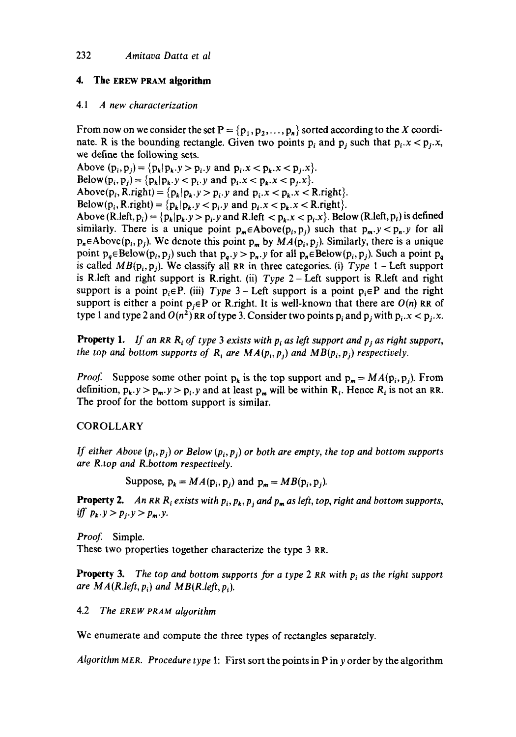# **4. The EREW PRAM algorithm**

#### *4.1 A new characterization*

From now on we consider the set  $P = \{p_1, p_2, \ldots, p_n\}$  sorted according to the X coordinate. R is the bounding rectangle. Given two points  $p_i$  and  $p_j$  such that  $p_i.x < p_j.x$ , we define the following sets.

Above  $(p_i, p_j) = {p_k | p_k \cdot y > p_i \cdot y}$  and  $p_i \cdot x < p_k \cdot x < p_j \cdot x$ . Below(p<sub>i</sub>, p<sub>i</sub>) = {p<sub>k</sub>|p<sub>k</sub>, y < p<sub>i</sub>, y and p<sub>i</sub>, x < p<sub>k</sub>, x < p<sub>i</sub>, x}.

Above( $p_i$ , R.right) = { $p_k | p_k$ . $y > p_i$ . $y$  and  $p_i$ . $x < p_k$ . $x <$  R.right}.

Below( $p_i$ , R.right) =  ${p_k | p_k.y < p_i.y}$  and  $p_i.x < p_k.x < R.right$ .

Above (R.left,  $p_i$ ) = { $p_k$ | $p_k$ . $y > p_i$ . y and R.left <  $p_k$ . $x < p_i$ . X}. Below (R.left,  $p_i$ ) is defined similarly. There is a unique point  $p_m \in Above(p_i, p_j)$  such that  $p_m y < p_n y$  for all  $p_n \in \text{Above}(p_i, p_j)$ . We denote this point  $p_m$  by  $MA(p_i, p_j)$ . Similarly, there is a unique point  $p_a \in Below(p_i, p_j)$  such that  $p_a y > p_a y$  for all  $p_a \in Below(p_i, p_j)$ . Such a point  $p_a$ is called  $MB(p_i, p_j)$ . We classify all RR in three categories. (i) *Type* 1 – Left support is R.left and right support is R.right. (ii) *Type* 2- Left support is R.left and right support is a point  $p_i \in P$ . (iii) *Type* 3 – Left support is a point  $p_i \in P$  and the right support is either a point  $p_i \in P$  or R.right. It is well-known that there are  $O(n)$  RR of type 1 and type 2 and  $O(n^2)$  RR of type 3. Consider two points p<sub>i</sub> and p<sub>i</sub> with p<sub>i</sub>.x < p<sub>i</sub>.x.

**Property 1.** If an RR  $R_i$  of type 3 exists with  $p_i$  as left support and  $p_j$  as right support, *the top and bottom supports of R<sub>i</sub> are*  $MA(p_i, p_i)$  *and*  $MB(p_i, p_j)$  *respectively.* 

*Proof.* Suppose some other point  $p_k$  is the top support and  $p_m = MA(p_i, p_j)$ . From definition,  $p_k$ ,  $y > p_m$ ,  $y > p_i$ , y and at least  $p_m$  will be within R<sub>i</sub>. Hence R<sub>i</sub> is not an RR. The proof for the bottom support is similar.

# **COROLLARY**

*If either Above*  $(p_i, p_i)$  or Below  $(p_i, p_i)$  or both are empty, the top and bottom supports *are R.top and R.bottom respectively.* 

Suppose,  $p_k = MA(p_i, p_j)$  and  $p_m = MB(p_i, p_j)$ .

**Property 2.** An RR  $R_i$  exists with  $p_i$ ,  $p_k$ ,  $p_i$  and  $p_m$  as left, top, right and bottom supports, *iff*  $p_k \tcdot y > p_i \tcdot y > p_m \tcdot y$ .

*Proof.* Simple. These two properties together characterize the type 3 RR.

Property 3. *The top and bottom supports for a type* 2 RR *with Pl as the right support are*  $MA(R.left, p_i)$  *and*  $MB(R.left, p_i)$ *.* 

4.2 *The EREW PRAM algorithm* 

We enumerate and compute the three types of rectangles separately.

*Algorithm MER. Procedure type* 1: First sort the points in P in y order by the algorithm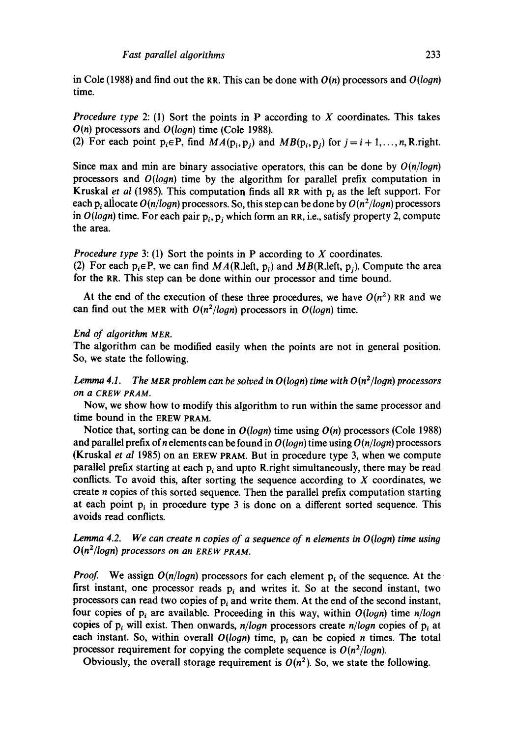in Cole (1988) and find out the RR. This can be done with *O(n)* processors and *O(logn)*  time.

*Procedure type* 2: (1) Sort the points in P according to X coordinates. This takes *O(n)* processors and *O(logn)* time (Cole 1988).

(2) For each point  $p_i \in P$ , find  $MA(p_i, p_j)$  and  $MB(p_i, p_j)$  for  $j = i + 1, ..., n$ , R.right.

Since max and min are binary associative operators, this can be done by *O(n/logn)*  processors and *O(logn)* time by the algorithm for parallel prefix computation in Kruskal *et al* (1985). This computation finds all RR with p<sub>i</sub> as the left support. For each  $p_i$  allocate  $O(n/logn)$  processors. So, this step can be done by  $O(n^2/logn)$  processors in  $O(logn)$  time. For each pair  $p_i$ ,  $p_j$  which form an RR, i.e., satisfy property 2, compute the area.

*Procedure type* 3: (1) Sort the points in P according to X coordinates.

(2) For each  $p_i \in P$ , we can find  $MA(R.left, p_i)$  and  $MB(R.left, p_i)$ . Compute the area for the RR. This step can be done within our processor and time bound.

At the end of the execution of these three procedures, we have  $O(n^2)$  RR and we can find out the MER with  $O(n^2/logn)$  processors in  $O(logn)$  time.

#### *End of algorithm MEn.*

The algorithm can be modified easily when the points are not in general position. So, we state the following.

*Lemma 4.1.* The MER problem can be solved in  $O(logn)$  time with  $O(n^2/logn)$  processors *on a CREW PRAM.* 

Now, we show how to modify this algorithm to run within the same processor and time bound in the EREW PRAM.

Notice that, sorting can be done in *O(logn)* time using *O(n)* processors (Cole 1988) and parallel prefix of n elements can be found in O *(logn)* time using O *(n/logn)* processors (Kruskal *et al* 1985) on an EREW PRAM. But in procedure type 3, when we compute parallel prefix starting at each  $p_i$  and upto R.right simultaneously, there may be read conflicts. To avoid this, after sorting the sequence according to  $X$  coordinates, we create n copies of this sorted sequence. Then the parallel prefix computation starting at each point  $p_i$  in procedure type 3 is done on a different sorted sequence. This avoids read conflicts.

# *Lemma 4.2. We can create n copies of a sequence of n elements in O(logn) time using O(n2/loon) processors on an EREW PRAM.*

*Proof.* We assign  $O(n/logn)$  processors for each element  $p_i$  of the sequence. At the first instant, one processor reads  $p_i$  and writes it. So at the second instant, two processors can read two copies of  $p_i$  and write them. At the end of the second instant, four copies of  $p_i$  are available. Proceeding in this way, within  $O(logn)$  time  $n/logn$ copies of  $p_i$  will exist. Then onwards,  $n/logn$  processors create  $n/logn$  copies of  $p_i$  at each instant. So, within overall  $O(logn)$  time, p<sub>i</sub> can be copied n times. The total processor requirement for copying the complete sequence is  $O(n^2/logn)$ .

Obviously, the overall storage requirement is  $O(n^2)$ . So, we state the following.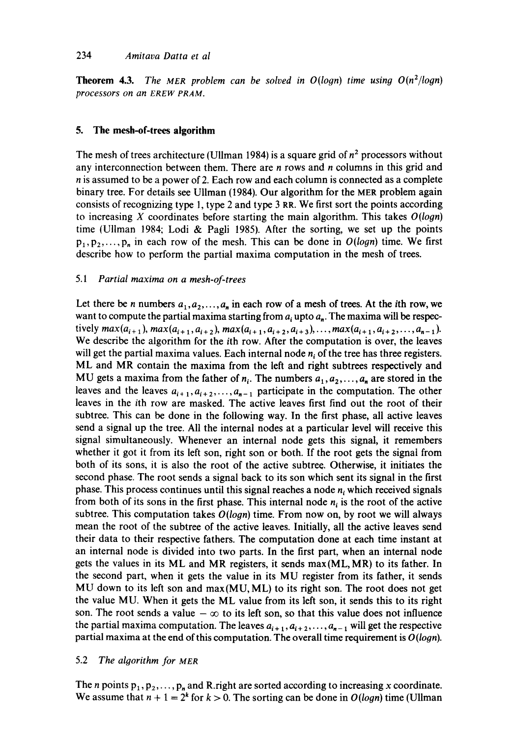### 234 *Amitava Datta et al*

**Theorem 4.3.** The MER problem can be solved in  $O(logn)$  time using  $O(n^2(logn))$ *processors on an EREW PRAM.* 

# **5. The mesh-of-trees algorithm**

The mesh of trees architecture (Ullman 1984) is a square grid of  $n<sup>2</sup>$  processors without any interconnection between them. There are  $n$  rows and  $n$  columns in this grid and n is assumed to be a power of 2. Each row and each column is connected as a complete binary tree. For details see Ullman (1984). Our algorithm for the MER problem again consists of recognizing type l, type 2 and type 3 RR. We first sort the points according to increasing X coordinates before starting the main algorithm. This takes *O(logn)*  time (Ullman 1984; Lodi & Pagli 1985). After the sorting, we set up the points  $p_1, p_2, \ldots, p_n$  in each row of the mesh. This can be done in  $O(logn)$  time. We first describe how to perform the partial maxima computation in the mesh of trees.

# *5.1 Partial maxima on a mesh-of-trees*

Let there be n numbers  $a_1, a_2, \ldots, a_n$  in each row of a mesh of trees. At the *i*th row, we want to compute the partial maxima starting from  $a_i$  upto  $a_n$ . The maxima will be respectively  $max(a_{i+1}), max(a_{i+1}, a_{i+2}), max(a_{i+1}, a_{i+2}, a_{i+3}), \ldots, max(a_{i+1}, a_{i+2}, \ldots, a_{n-1}).$ We describe the algorithm for the ith row. After the computation is over, the leaves will get the partial maxima values. Each internal node  $n_i$  of the tree has three registers. ML and MR contain the maxima from the left and right subtrees respectively and MU gets a maxima from the father of  $n_i$ . The numbers  $a_1, a_2, \ldots, a_n$  are stored in the leaves and the leaves  $a_{i+1}, a_{i+2}, \ldots, a_{n-1}$  participate in the computation. The other leaves in the ith row are masked. The active leaves first find out the root of their subtree. This can be done in the following way. In the first phase, all active leaves send a signal up the tree. All the internal nodes at a particular level will receive this signal simultaneously. Whenever an internal node gets this signal, it remembers whether it got it from its left son, right son or both. If the root gets the signal from both of its sons, it is also the root of the active subtre¢. Otherwise, it initiates the second phase. The root sends a signal back to its son which sent its signal in the first phase. This process continues until this signal reaches a node  $n_i$ , which received signals from both of its sons in the first phase. This internal node  $n_i$  is the root of the active subtree. This computation takes  $O(logn)$  time. From now on, by root we will always mean the root of the subtree of the active leaves. Initially, all the active leaves send their data to their respective fathers. The computation done at each time instant at an internal node is divided into two parts. In the first part, when an internal node gets the values in its ML and MR registers, it sends max(ML, MR) to its father. In the second part, when it gets the value in its MU register from its father, it sends MU down to its left son and  $max(MU, ML)$  to its right son. The root does not get the value MU. When it gets the ML value from its left son, it sends this to its right son. The root sends a value  $-\infty$  to its left son, so that this value does not influence the partial maxima computation. The leaves  $a_{i+1}, a_{i+2}, \ldots, a_{n-1}$  will get the respective partial maxima at the end of this computation. The overall time requirement is  $O(logn)$ .

# 5.2 The algorithm for MER

The *n* points  $p_1, p_2, \ldots, p_n$  and R right are sorted according to increasing x coordinate. We assume that  $n + 1 = 2^k$  for  $k > 0$ . The sorting can be done in  $O(log n)$  time (Ullman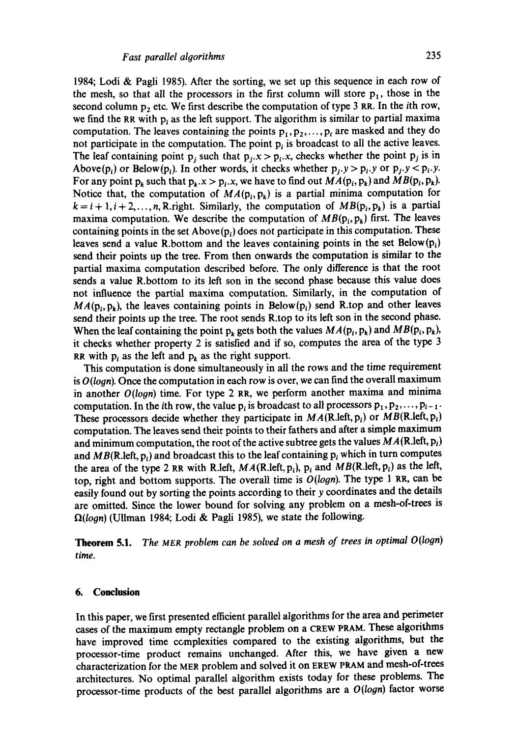1984; Lodi & Pagli 1985). After the sorting, we set up this sequence in each row of the mesh, so that all the processors in the first column will store  $p_1$ , those in the second column  $p_2$  etc. We first describe the computation of type 3 RR. In the *i*th row, we find the RR with  $p_i$  as the left support. The algorithm is similar to partial maxima computation. The leaves containing the points  $p_1, p_2, \ldots, p_i$  are masked and they do not participate in the computation. The point  $p_i$  is broadcast to all the active leaves. The leaf containing point p<sub>i</sub> such that  $p_i.x > p_i.x$ , checks whether the point  $p_j$  is in Above(p<sub>i</sub>) or Below(p<sub>i</sub>). In other words, it checks whether  $p_i y > p_i y$  or  $p_i y < p_i y$ . For any point  $p_k$  such that  $p_k \n\times p_i \n\times p_i$ , we have to find out  $MA(p_i, p_k)$  and  $MB(p_i, p_k)$ . Notice that, the computation of  $MA(p_i, p_k)$  is a partial minima computation for  $k = i + 1, i + 2, ..., n$ , R.right. Similarly, the computation of  $MB(p_i, p_k)$  is a partial maxima computation. We describe the computation of  $MB(p_i, p_k)$  first. The leaves containing points in the set  $Above(p_i)$  does not participate in this computation. These leaves send a value R.bottom and the leaves containing points in the set Below( $p_i$ ) send their points up the tree. From then onwards the computation is similar to the partial maxima computation described before. The only difference is that the root sends a value R.bottom to its left son in the second phase because this value does not influence the partial maxima computation. Similarly, in the computation of  $MA(p_i, p_k)$ , the leaves containing points in Below(p<sub>i</sub>) send R.top and other leaves send their points up the tree. The root sends R.top to its left son in the second phase. When the leaf containing the point  $p_k$  gets both the values  $MA(p_i, p_k)$  and  $MB(p_i, p_k)$ , it checks whether property 2 is satisfied and if so, computes the area of the type 3 RR with  $p_i$  as the left and  $p_k$  as the right support.

This computation is done simultaneously in all the rows and the time requirement is  $O(logn)$ . Once the computation in each row is over, we can find the overall maximum in another *O(logn)* time. For type 2 RR, we perform another maxima and minima computation. In the *i*th row, the value  $p_i$  is broadcast to all processors  $p_1, p_2, \ldots, p_{i-1}$ . These processors decide whether they participate in  $MA(R.left, p_i)$  or  $MB(R.left, p_i)$ computation. The leaves send their points to their fathers and after a simple maximum and minimum computation, the root of the active subtree gets the values  $MA(R.left, p_i)$ and  $MB(R.left, p_i)$  and broadcast this to the leaf containing  $p_i$  which in turn computes the area of the type 2 RR with R.left,  $MA(R.left, p_i)$ ,  $p_i$  and  $MB(R.left, p_i)$  as the left, top, right and bottom supports. The overall time is *O(logn).* The type 1 RR, can be easily found out by sorting the points according to their y coordinates and the details are omitted. Since the lower bound for solving any problem on a mesh-of-trees is *fl(logn)* (Ullman 1984; Lodi & Pagli 1985), we state the following.

**Theorem** 5.1. *The MER problem can be solved on a mesh of trees in optimal O(loon) time.* 

#### **6. Conclusion**

In this paper, we first presented efficient parallel algorithms for the area and perimeter cases of the maximum empty rectangle problem on a CREW PRAM. These algorithms have improved time complexities compared to the existing algorithms, but the processor-time product remains unchanged. After this, we have given a new characterization for the MER problem and solved it on EREW PRAM and mesh-of-trees architectures. No optimal parallel algorithm exists today for these problems. The processor-time products of the best parallel algorithms are a *O(logn)* factor worse